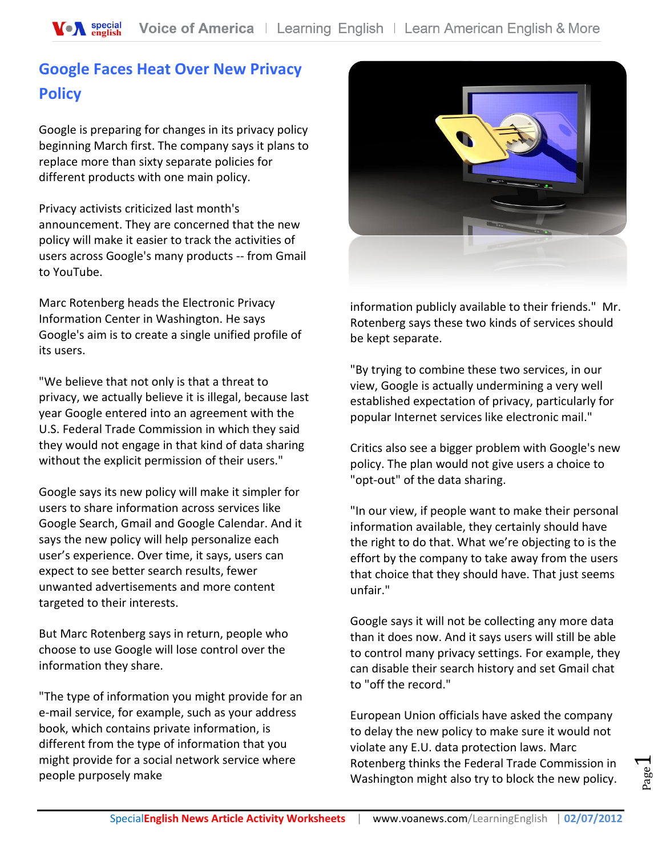# **Google Faces Heat Over New Privacy Policy**

Google is preparing for changes in its privacy policy beginning March first. The company says it plans to replace more than sixty separate policies for different products with one main policy.

Privacy activists criticized last month's announcement. They are concerned that the new policy will make it easier to track the activities of users across Google's many products -- from Gmail to YouTube.

Marc Rotenberg heads the Electronic Privacy Information Center in Washington. He says Google's aim is to create a single unified profile of its users.

"We believe that not only is that a threat to privacy, we actually believe it is illegal, because last year Google entered into an agreement with the U.S. Federal Trade Commission in which they said they would not engage in that kind of data sharing without the explicit permission of their users."

Google says its new policy will make it simpler for users to share information across services like Google Search, Gmail and Google Calendar. And it says the new policy will help personalize each user's experience. Over time, it says, users can expect to see better search results, fewer unwanted advertisements and more content targeted to their interests.

But Marc Rotenberg says in return, people who choose to use Google will lose control over the information they share.

"The type of information you might provide for an e-mail service, for example, such as your address book, which contains private information, is different from the type of information that you might provide for a social network service where people purposely make



information publicly available to their friends." Mr. Rotenberg says these two kinds of services should be kept separate.

"By trying to combine these two services, in our view, Google is actually undermining a very well established expectation of privacy, particularly for popular Internet services like electronic mail."

Critics also see a bigger problem with Google's new policy. The plan would not give users a choice to "opt-out" of the data sharing.

"In our view, if people want to make their personal information available, they certainly should have the right to do that. What we're objecting to is the effort by the company to take away from the users that choice that they should have. That just seems unfair."

Google says it will not be collecting any more data than it does now. And it says users will still be able to control many privacy settings. For example, they can disable their search history and set Gmail chat to "off the record."

European Union officials have asked the company to delay the new policy to make sure it would not violate any E.U. data protection laws. Marc Rotenberg thinks the Federal Trade Commission in Washington might also try to block the new policy.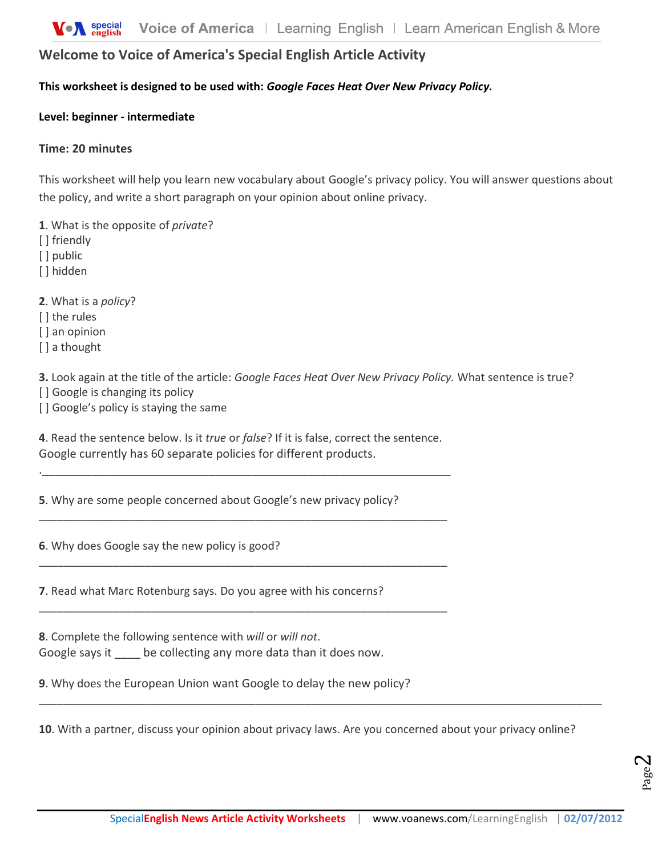# **Welcome to Voice of America's Special English Article Activity**

### **This worksheet is designed to be used with:** *Google Faces Heat Over New Privacy Policy.*

#### **Level: beginner - intermediate**

#### **Time: 20 minutes**

This worksheet will help you learn new vocabulary about Google's privacy policy. You will answer questions about the policy, and write a short paragraph on your opinion about online privacy.

**1**. What is the opposite of *private*?

- [] friendly
- [ ] public
- [] hidden

**2**. What is a *policy*?

[] the rules

[] an opinion

[ ] a thought

**3.** Look again at the title of the article: *Google Faces Heat Over New Privacy Policy.* What sentence is true?

[] Google is changing its policy

[] Google's policy is staying the same

**4**. Read the sentence below. Is it *true* or *false*? If it is false, correct the sentence. Google currently has 60 separate policies for different products.

.\_\_\_\_\_\_\_\_\_\_\_\_\_\_\_\_\_\_\_\_\_\_\_\_\_\_\_\_\_\_\_\_\_\_\_\_\_\_\_\_\_\_\_\_\_\_\_\_\_\_\_\_\_\_\_\_\_\_\_\_\_\_\_\_\_\_

\_\_\_\_\_\_\_\_\_\_\_\_\_\_\_\_\_\_\_\_\_\_\_\_\_\_\_\_\_\_\_\_\_\_\_\_\_\_\_\_\_\_\_\_\_\_\_\_\_\_\_\_\_\_\_\_\_\_\_\_\_\_\_\_\_\_

\_\_\_\_\_\_\_\_\_\_\_\_\_\_\_\_\_\_\_\_\_\_\_\_\_\_\_\_\_\_\_\_\_\_\_\_\_\_\_\_\_\_\_\_\_\_\_\_\_\_\_\_\_\_\_\_\_\_\_\_\_\_\_\_\_\_

\_\_\_\_\_\_\_\_\_\_\_\_\_\_\_\_\_\_\_\_\_\_\_\_\_\_\_\_\_\_\_\_\_\_\_\_\_\_\_\_\_\_\_\_\_\_\_\_\_\_\_\_\_\_\_\_\_\_\_\_\_\_\_\_\_\_

**5**. Why are some people concerned about Google's new privacy policy?

**6**. Why does Google say the new policy is good?

**7**. Read what Marc Rotenburg says. Do you agree with his concerns?

**8**. Complete the following sentence with *will* or *will not*. Google says it be collecting any more data than it does now.

**9**. Why does the European Union want Google to delay the new policy?

**10**. With a partner, discuss your opinion about privacy laws. Are you concerned about your privacy online?

\_\_\_\_\_\_\_\_\_\_\_\_\_\_\_\_\_\_\_\_\_\_\_\_\_\_\_\_\_\_\_\_\_\_\_\_\_\_\_\_\_\_\_\_\_\_\_\_\_\_\_\_\_\_\_\_\_\_\_\_\_\_\_\_\_\_\_\_\_\_\_\_\_\_\_\_\_\_\_\_\_\_\_\_\_\_\_\_\_\_\_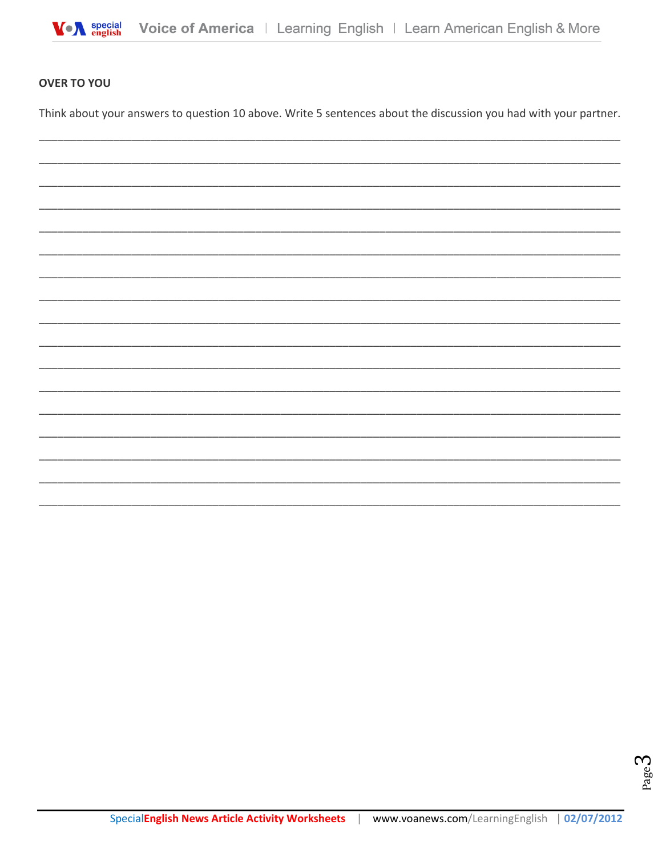

## **OVER TO YOU**

Think about your answers to question 10 above. Write 5 sentences about the discussion you had with your partner.